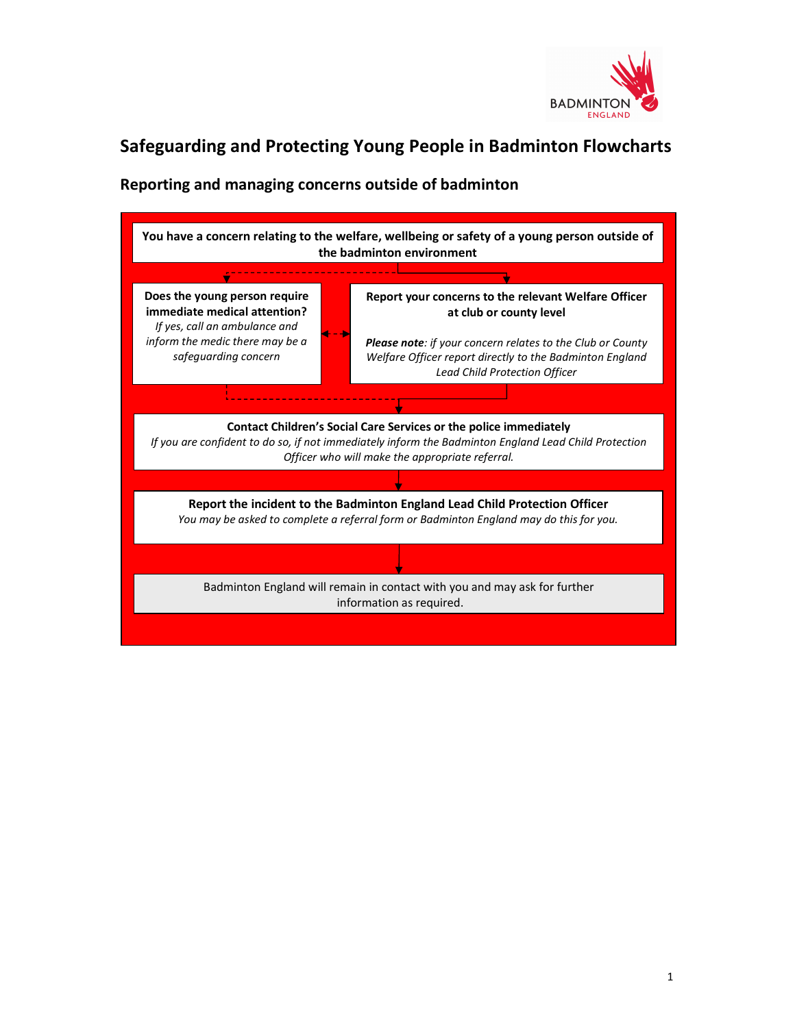

## Safeguarding and Protecting Young People in Badminton Flowcharts

## Reporting and managing concerns outside of badminton

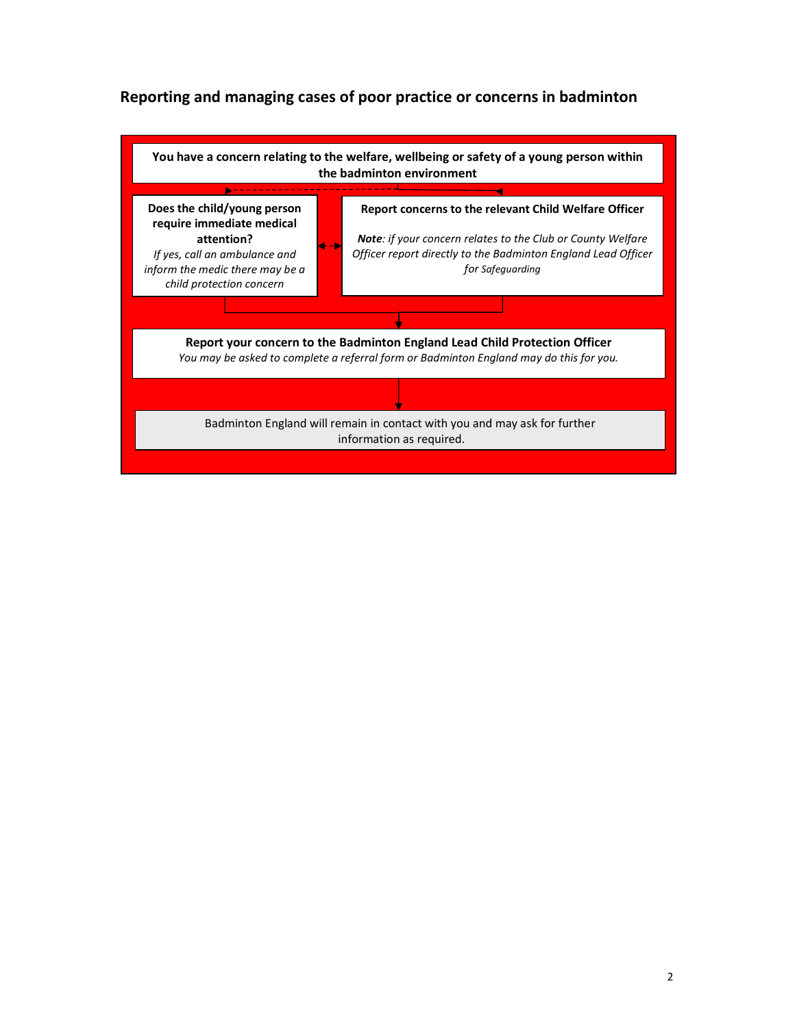## Reporting and managing cases of poor practice or concerns in badminton